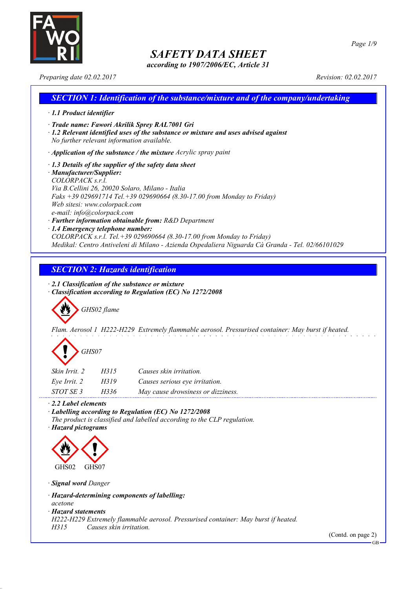

*according to 1907/2006/EC, Article 31*

#### *Preparing date 02.02.2017 Revision: 02.02.2017*

# *SECTION 1: Identification of the substance/mixture and of the company/undertaking · 1.1 Product identifier · Trade name: Fawori Akrilik Sprey RAL7001 Gri · 1.2 Relevant identified uses of the substance or mixture and uses advised against No further relevant information available. · Application of the substance / the mixture Acrylic spray paint · 1.3 Details of the supplier of the safety data sheet · Manufacturer/Supplier: COLORPACK s.r.l. Via B.Cellini 26, 20020 Solaro, Milano - Italia Faks +39 029691714 Tel.+39 029690664 (8.30-17.00 from Monday to Friday) Web sitesi: www.colorpack.com e-mail: info@colorpack.com*

- *· Further information obtainable from: R&D Department*
- *· 1.4 Emergency telephone number:*

*COLORPACK s.r.l. Tel.+39 029690664 (8.30-17.00 from Monday to Friday) Medikal: Centro Antiveleni di Milano - Azienda Ospedaliera Niguarda Cà Granda - Tel. 02/66101029*

## *SECTION 2: Hazards identification*

*· 2.1 Classification of the substance or mixture*

*· Classification according to Regulation (EC) No 1272/2008*

*GHS02 flame*

*Flam. Aerosol 1 H222-H229 Extremely flammable aerosol. Pressurised container: May burst if heated.*

# *GHS07*

| Skin Irrit, 2 | H315 | Causes skin irritation.           |
|---------------|------|-----------------------------------|
| Eve Irrit. 2  | H319 | Causes serious eye irritation.    |
| STOT SE 3     | H336 | May cause drowsiness or dizziness |

*· 2.2 Label elements*

*· Labelling according to Regulation (EC) No 1272/2008*

- *The product is classified and labelled according to the CLP regulation.*
- *· Hazard pictograms*



*· Signal word Danger*

*· Hazard-determining components of labelling:*

*acetone*

*· Hazard statements*

*H222-H229 Extremely flammable aerosol. Pressurised container: May burst if heated.*

*H315 Causes skin irritation.*

(Contd. on page 2)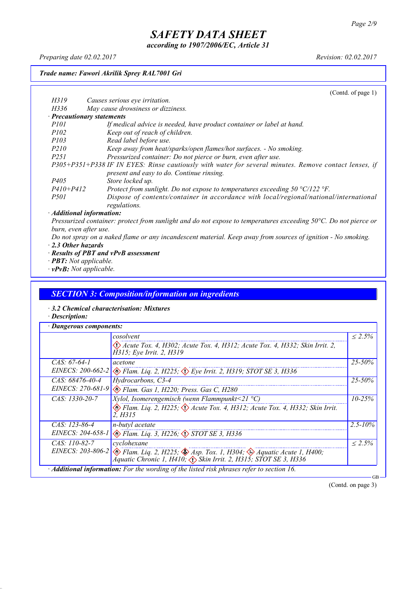*according to 1907/2006/EC, Article 31*

*Preparing date 02.02.2017 Revision: 02.02.2017*

*Trade name: Fawori Akrilik Sprey RAL7001 Gri*

|               | (Cond. of page 1)                                                                                                         |
|---------------|---------------------------------------------------------------------------------------------------------------------------|
| H319          | Causes serious eye irritation.                                                                                            |
| H336          | May cause drowsiness or dizziness.                                                                                        |
|               | · Precautionary statements                                                                                                |
| <i>P101</i>   | If medical advice is needed, have product container or label at hand.                                                     |
| <i>P102</i>   | Keep out of reach of children.                                                                                            |
| <i>P103</i>   | Read label before use.                                                                                                    |
| <i>P210</i>   | Keep away from heat/sparks/open flames/hot surfaces. - No smoking.                                                        |
| <i>P251</i>   | Pressurized container: Do not pierce or burn, even after use.                                                             |
|               | P305+P351+P338 IF IN EYES: Rinse cautiously with water for several minutes. Remove contact lenses, if                     |
|               | present and easy to do. Continue rinsing.                                                                                 |
| <i>P405</i>   | Store locked up.                                                                                                          |
| $P410 + P412$ | Protect from sunlight. Do not expose to temperatures exceeding $50 \degree C/122 \degree F$ .                             |
| <i>P501</i>   | Dispose of contents/container in accordance with local/regional/national/international                                    |
|               | regulations.                                                                                                              |
|               | · Additional information:                                                                                                 |
|               | Pressurized container: protect from sunlight and do not expose to temperatures exceeding $50\degree C$ . Do not pierce or |

Pressurized container: protect from sunlight and do not expose to temperatures exceeding  $50^{\circ}$ C. Do not pierce or *burn, even after use.*

- Do not spray on a naked flame or any incandescent material. Keep away from sources of ignition No smoking. *· 2.3 Other hazards*
- *· Results of PBT and vPvB assessment*
- *· PBT: Not applicable.*
- *· vPvB: Not applicable.*

# *SECTION 3: Composition/information on ingredients*

- *· 3.2 Chemical characterisation: Mixtures*
- *· Description:*

|                   | cosolvent                                                                                                                                                                                                 | $\leq 2.5\%$ |  |
|-------------------|-----------------------------------------------------------------------------------------------------------------------------------------------------------------------------------------------------------|--------------|--|
|                   | $\langle \cdot \rangle$ Acute Tox. 4, H302; Acute Tox. 4, H312; Acute Tox. 4, H332; Skin Irrit. 2,<br>H315; Eye Irrit. 2, H319                                                                            |              |  |
| $CAS: 67-64-1$    | acetone                                                                                                                                                                                                   | $25 - 50\%$  |  |
| EINECS: 200-662-2 | $\langle \rangle$ Flam. Liq. 2, H225; $\langle \rangle$ Eye Irrit. 2, H319; STOT SE 3, H336                                                                                                               |              |  |
| $CAS: 68476-40-4$ | Hydrocarbons, C3-4                                                                                                                                                                                        | 25-50%       |  |
|                   | EINECS: 270-681-9 & Flam. Gas 1, H220; Press. Gas C, H280                                                                                                                                                 |              |  |
| $CAS: 1330-20-7$  | <i>Xylol, Isomerengemisch (wenn Flammpunkt</i> <21 $^{\circ}$ C)                                                                                                                                          | $10 - 25\%$  |  |
|                   | Elam. Liq. 2, H225; $\Diamond$ Acute Tox. 4, H312; Acute Tox. 4, H332; Skin Irrit.<br>2. H315                                                                                                             |              |  |
| $CAS: 123-86-4$   | n-butyl acetate                                                                                                                                                                                           | $2.5 - 10\%$ |  |
|                   | EINECS: 204-658-1 & Flam. Liq. 3, H226; STOT SE 3, H336                                                                                                                                                   |              |  |
| $CAS: 110-82-7$   | cyclohexane                                                                                                                                                                                               | $\leq 2.5\%$ |  |
|                   | EINECS: 203-806-2 $\otimes$ Flam. Liq. 2, H225; $\otimes$ Asp. Tox. 1, H304; $\otimes$ Aquatic Acute 1, H400;<br>$\bigwedge^2$ quatic Chronic 1, H410; $\bigwedge^5$ Skin Irrit. 2, H315; STOT SE 3, H336 |              |  |

(Contd. on page 3)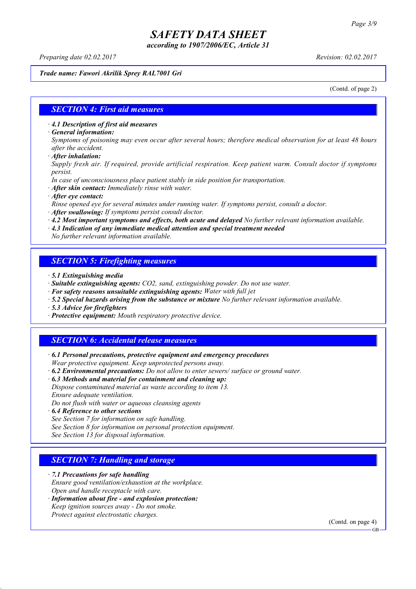*according to 1907/2006/EC, Article 31*

*Preparing date 02.02.2017 Revision: 02.02.2017*

*Trade name: Fawori Akrilik Sprey RAL7001 Gri*

(Contd. of page 2)

#### *SECTION 4: First aid measures*

*· 4.1 Description of first aid measures*

*· General information:*

Symptoms of poisoning may even occur after several hours; therefore medical observation for at least 48 hours *after the accident.*

*· After inhalation:*

*Supply fresh air. If required, provide artificial respiration. Keep patient warm. Consult doctor if symptoms persist.*

*In case of unconsciousness place patient stably in side position for transportation.*

- *· After skin contact: Immediately rinse with water.*
- *· After eye contact:*

*Rinse opened eye for several minutes under running water. If symptoms persist, consult a doctor.*

*· After swallowing: If symptoms persist consult doctor.*

*· 4.2 Most important symptoms and effects, both acute and delayed No further relevant information available.*

*· 4.3 Indication of any immediate medical attention and special treatment needed*

*No further relevant information available.*

### *SECTION 5: Firefighting measures*

- *· 5.1 Extinguishing media*
- *· Suitable extinguishing agents: CO2, sand, extinguishing powder. Do not use water.*
- *· For safety reasons unsuitable extinguishing agents: Water with full jet*
- *· 5.2 Special hazards arising from the substance or mixture No further relevant information available.*
- *· 5.3 Advice for firefighters*
- *· Protective equipment: Mouth respiratory protective device.*

#### *SECTION 6: Accidental release measures*

*· 6.1 Personal precautions, protective equipment and emergency procedures Wear protective equipment. Keep unprotected persons away.*

*· 6.2 Environmental precautions: Do not allow to enter sewers/ surface or ground water.*

*· 6.3 Methods and material for containment and cleaning up:*

*Dispose contaminated material as waste according to item 13. Ensure adequate ventilation.*

*Do not flush with water or aqueous cleansing agents*

- *· 6.4 Reference to other sections*
- *See Section 7 for information on safe handling.*

*See Section 8 for information on personal protection equipment.*

*See Section 13 for disposal information.*

#### *SECTION 7: Handling and storage*

*· 7.1 Precautions for safe handling*

*Ensure good ventilation/exhaustion at the workplace.*

*Open and handle receptacle with care.*

*· Information about fire - and explosion protection: Keep ignition sources away - Do not smoke.*

*Protect against electrostatic charges.*

(Contd. on page 4)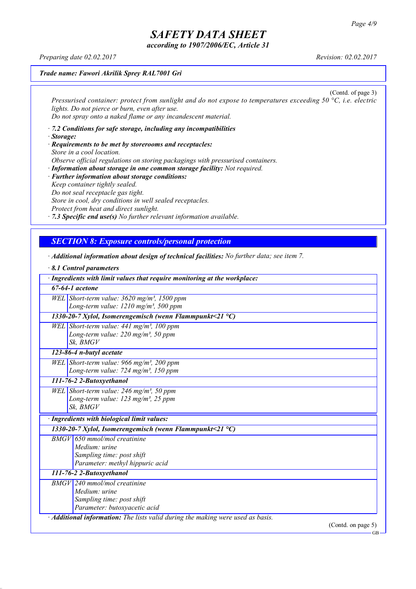*according to 1907/2006/EC, Article 31*

*Preparing date 02.02.2017 Revision: 02.02.2017*

*Trade name: Fawori Akrilik Sprey RAL7001 Gri*

(Contd. of page 3) *Pressurised container: protect from sunlight and do not expose to temperatures exceeding 50 °C, i.e. electric lights. Do not pierce or burn, even after use. Do not spray onto a naked flame or any incandescent material.*

*· 7.2 Conditions for safe storage, including any incompatibilities · Storage:*

*· Requirements to be met by storerooms and receptacles: Store in a cool location. Observe official regulations on storing packagings with pressurised containers.*

*· Information about storage in one common storage facility: Not required. · Further information about storage conditions: Keep container tightly sealed. Do not seal receptacle gas tight. Store in cool, dry conditions in well sealed receptacles. Protect from heat and direct sunlight.*

*· 7.3 Specific end use(s) No further relevant information available.*

### *SECTION 8: Exposure controls/personal protection*

*· Additional information about design of technical facilities: No further data; see item 7.*

*· 8.1 Control parameters · Ingredients with limit values that require monitoring at the workplace: 67-64-1 acetone WEL Short-term value: 3620 mg/m³, 1500 ppm Long-term value: 1210 mg/m³, 500 ppm 1330-20-7 Xylol, Isomerengemisch (wenn Flammpunkt<21 °C) WEL Short-term value: 441 mg/m³, 100 ppm Long-term value: 220 mg/m³, 50 ppm Sk, BMGV 123-86-4 n-butyl acetate WEL Short-term value: 966 mg/m³, 200 ppm Long-term value: 724 mg/m³, 150 ppm 111-76-2 2-Butoxyethanol WEL Short-term value: 246 mg/m³, 50 ppm Long-term value: 123 mg/m³, 25 ppm Sk, BMGV · Ingredients with biological limit values: 1330-20-7 Xylol, Isomerengemisch (wenn Flammpunkt<21 °C) BMGV 650 mmol/mol creatinine Medium: urine Sampling time: post shift Parameter: methyl hippuric acid 111-76-2 2-Butoxyethanol BMGV 240 mmol/mol creatinine Medium: urine Sampling time: post shift Parameter: butoxyacetic acid · Additional information: The lists valid during the making were used as basis.* (Contd. on page 5)

GB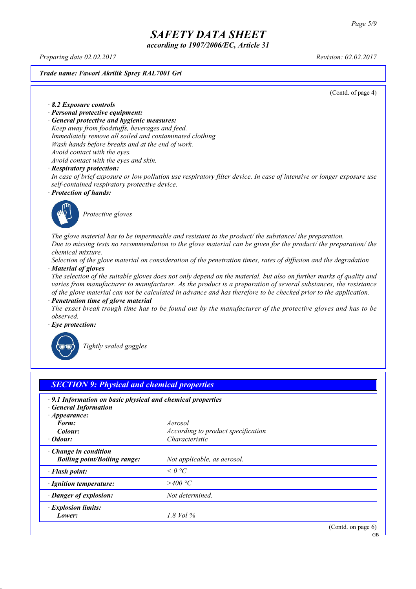*according to 1907/2006/EC, Article 31*

*Preparing date 02.02.2017 Revision: 02.02.2017*

*Trade name: Fawori Akrilik Sprey RAL7001 Gri*

(Contd. of page 4)

*· 8.2 Exposure controls*

- *· Personal protective equipment:*
- *· General protective and hygienic measures:*

*Keep away from foodstuffs, beverages and feed. Immediately remove all soiled and contaminated clothing Wash hands before breaks and at the end of work. Avoid contact with the eyes.*

*Avoid contact with the eyes and skin.*

#### *· Respiratory protection:*

In case of brief exposure or low pollution use respiratory filter device. In case of intensive or longer exposure use *self-contained respiratory protective device.*

*· Protection of hands:*



*Protective gloves*

*The glove material has to be impermeable and resistant to the product/ the substance/ the preparation.* Due to missing tests no recommendation to the glove material can be given for the product/ the preparation/ the *chemical mixture.*

Selection of the glove material on consideration of the penetration times, rates of diffusion and the degradation *· Material of gloves*

The selection of the suitable gloves does not only depend on the material, but also on further marks of quality and *varies from manufacturer to manufacturer. As the product is a preparation of several substances, the resistance* of the glove material can not be calculated in advance and has therefore to be checked prior to the application.

*· Penetration time of glove material*

The exact break trough time has to be found out by the manufacturer of the protective gloves and has to be *observed.*

*· Eye protection:*



*Tightly sealed goggles*

| $\cdot$ 9.1 Information on basic physical and chemical properties<br><b>General Information</b> |                                           |  |
|-------------------------------------------------------------------------------------------------|-------------------------------------------|--|
| $\cdot$ Appearance:                                                                             |                                           |  |
| Form:                                                                                           | Aerosol                                   |  |
| Colour:                                                                                         | <i>According to product specification</i> |  |
| $\cdot$ Odour:                                                                                  | Characteristic                            |  |
| Change in condition<br><b>Boiling point/Boiling range:</b>                                      | Not applicable, as aerosol.               |  |
| · Flash point:                                                                                  | $\leq$ 0 °C                               |  |
| · Ignition temperature:                                                                         | >400 °C                                   |  |
| · Danger of explosion:                                                                          | Not determined.                           |  |
| · Explosion limits:                                                                             |                                           |  |
| Lower:                                                                                          | 1.8 Vol $\%$                              |  |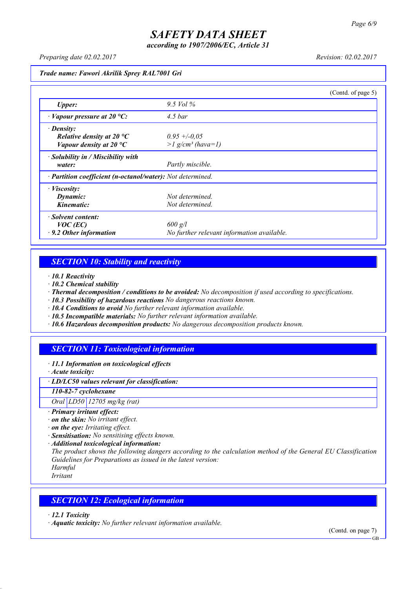*according to 1907/2006/EC, Article 31*

*Preparing date 02.02.2017 Revision: 02.02.2017*

*Trade name: Fawori Akrilik Sprey RAL7001 Gri*

|                                                            |                                            | (Contd. of page 5) |
|------------------------------------------------------------|--------------------------------------------|--------------------|
| <b>Upper:</b>                                              | $9.5$ Vol $\%$                             |                    |
| $\cdot$ Vapour pressure at 20 °C:                          | $4.5$ bar                                  |                    |
| $\cdot$ Density:                                           |                                            |                    |
| Relative density at 20 $^{\circ}C$                         | $0.95 + -0.05$                             |                    |
| Vapour density at 20 $^{\circ}C$                           | $>l$ g/cm <sup>3</sup> (hava=1)            |                    |
| $\cdot$ Solubility in / Miscibility with                   |                                            |                    |
| water:                                                     | Partly miscible.                           |                    |
| · Partition coefficient (n-octanol/water): Not determined. |                                            |                    |
| $\cdot$ <i>Viscosity:</i>                                  |                                            |                    |
| Dynamic:                                                   | Not determined.                            |                    |
| Kinematic:                                                 | Not determined.                            |                    |
| · Solvent content:                                         |                                            |                    |
| $VOC$ (EC)                                                 | $600$ g/l                                  |                    |
| $\cdot$ 9.2 Other information                              | No further relevant information available. |                    |

## *SECTION 10: Stability and reactivity*

*· 10.1 Reactivity*

- *· 10.2 Chemical stability*
- *· Thermal decomposition / conditions to be avoided: No decomposition if used according to specifications.*
- *· 10.3 Possibility of hazardous reactions No dangerous reactions known.*
- *· 10.4 Conditions to avoid No further relevant information available.*
- *· 10.5 Incompatible materials: No further relevant information available.*
- *· 10.6 Hazardous decomposition products: No dangerous decomposition products known.*

## *SECTION 11: Toxicological information*

*· 11.1 Information on toxicological effects*

*· Acute toxicity:*

*· LD/LC50 values relevant for classification:*

*110-82-7 cyclohexane*

*Oral LD50 12705 mg/kg (rat)*

- *· Primary irritant effect:*
- *· on the skin: No irritant effect.*
- *· on the eye: Irritating effect.*
- *· Sensitisation: No sensitising effects known.*
- *· Additional toxicological information:*

*The product shows the following dangers according to the calculation method of the General EU Classification Guidelines for Preparations as issued in the latest version:*

*Harmful Irritant*

### *SECTION 12: Ecological information*

*· 12.1 Toxicity*

*· Aquatic toxicity: No further relevant information available.*

(Contd. on page 7)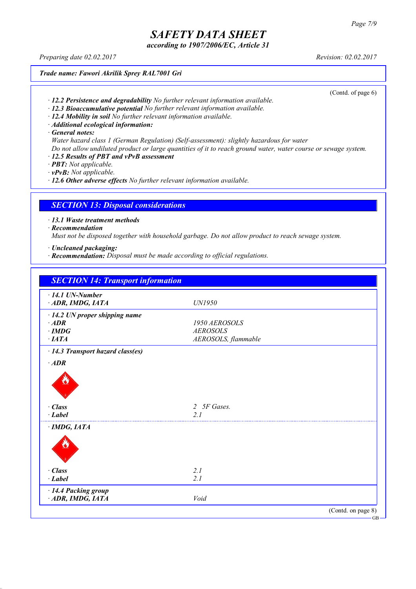*according to 1907/2006/EC, Article 31*

*Preparing date 02.02.2017 Revision: 02.02.2017*

*Trade name: Fawori Akrilik Sprey RAL7001 Gri*

(Contd. of page 6)

- *· 12.2 Persistence and degradability No further relevant information available.*
- *· 12.3 Bioaccumulative potential No further relevant information available.*
- *· 12.4 Mobility in soil No further relevant information available.*
- *· Additional ecological information:*

*· General notes:*

- *Water hazard class 1 (German Regulation) (Self-assessment): slightly hazardous for water*
- Do not allow undiluted product or large quantities of it to reach ground water, water course or sewage system.
- *· 12.5 Results of PBT and vPvB assessment*
- *· PBT: Not applicable.*
- *· vPvB: Not applicable.*

*· 12.6 Other adverse effects No further relevant information available.*

### *SECTION 13: Disposal considerations*

*· 13.1 Waste treatment methods*

*· Recommendation*

*Must not be disposed together with household garbage. Do not allow product to reach sewage system.*

- *· Uncleaned packaging:*
- *· Recommendation: Disposal must be made according to official regulations.*

| <b>SECTION 14: Transport information</b>  |                     |                    |
|-------------------------------------------|---------------------|--------------------|
| $\cdot$ 14.1 UN-Number<br>ADR, IMDG, IATA | UN1950              |                    |
| $\cdot$ 14.2 UN proper shipping name      |                     |                    |
| $\cdot$ ADR                               | 1950 AEROSOLS       |                    |
| $\cdot$ IMDG                              | <b>AEROSOLS</b>     |                    |
| $·$ <i>IATA</i>                           | AEROSOLS, flammable |                    |
| · 14.3 Transport hazard class(es)         |                     |                    |
| $\cdot$ ADR                               |                     |                    |
|                                           |                     |                    |
| $\cdot$ Class                             | 2 5F Gases.         |                    |
| $\cdot$ Label                             | 21                  |                    |
| $\cdot$ IMDG, IATA                        |                     |                    |
|                                           |                     |                    |
| $\cdot$ Class                             | 2.1                 |                    |
| $\cdot$ Label                             | 2.1                 |                    |
| · 14.4 Packing group                      |                     |                    |
| ADR, IMDG, IATA                           | Void                |                    |
|                                           |                     | (Contd. on page 8) |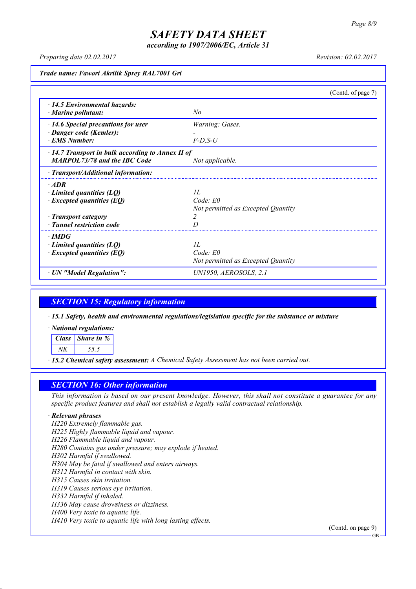*according to 1907/2006/EC, Article 31*

*Preparing date 02.02.2017 Revision: 02.02.2017*

*Trade name: Fawori Akrilik Sprey RAL7001 Gri*

|                                                         |                                    | (Contd. of page 7) |
|---------------------------------------------------------|------------------------------------|--------------------|
| $\cdot$ 14.5 Environmental hazards:                     |                                    |                    |
| $\cdot$ Marine pollutant:                               | N <sub>o</sub>                     |                    |
| $\cdot$ 14.6 Special precautions for user               | Warning: Gases.                    |                    |
| · Danger code (Kemler):                                 |                                    |                    |
| <b>EMS Number:</b>                                      | $F-D, S-U$                         |                    |
| $\cdot$ 14.7 Transport in bulk according to Annex II of |                                    |                    |
| <b>MARPOL73/78 and the IBC Code</b>                     | Not applicable.                    |                    |
| · Transport/Additional information:                     |                                    |                    |
| $\cdot$ ADR                                             |                                    |                    |
| $\cdot$ Limited quantities (LQ)                         | II.                                |                    |
| $\cdot$ Excepted quantities (EQ)                        | Code: E0                           |                    |
|                                                         | Not permitted as Excepted Quantity |                    |
| · Transport category                                    |                                    |                    |
| · Tunnel restriction code                               |                                    |                    |
| $\cdot$ IMDG                                            |                                    |                    |
| $\cdot$ Limited quantities (LQ)                         | II.                                |                    |
| $\cdot$ Excepted quantities (EQ)                        | Code: E0                           |                    |
|                                                         | Not permitted as Excepted Quantity |                    |
| · UN "Model Regulation":                                | UN1950, AEROSOLS, 2.1              |                    |

### *SECTION 15: Regulatory information*

*· 15.1 Safety, health and environmental regulations/legislation specific for the substance or mixture*

*· National regulations:*

*Class Share in %*

*NK 55.5*

*· 15.2 Chemical safety assessment: A Chemical Safety Assessment has not been carried out.*

### *SECTION 16: Other information*

This information is based on our present knowledge. However, this shall not constitute a guarantee for any *specific product features and shall not establish a legally valid contractual relationship.*

#### *· Relevant phrases*

*H220 Extremely flammable gas. H225 Highly flammable liquid and vapour. H226 Flammable liquid and vapour. H280 Contains gas under pressure; may explode if heated. H302 Harmful if swallowed. H304 May be fatal if swallowed and enters airways. H312 Harmful in contact with skin. H315 Causes skin irritation. H319 Causes serious eye irritation. H332 Harmful if inhaled. H336 May cause drowsiness or dizziness. H400 Very toxic to aquatic life. H410 Very toxic to aquatic life with long lasting effects.*

(Contd. on page 9)

GB